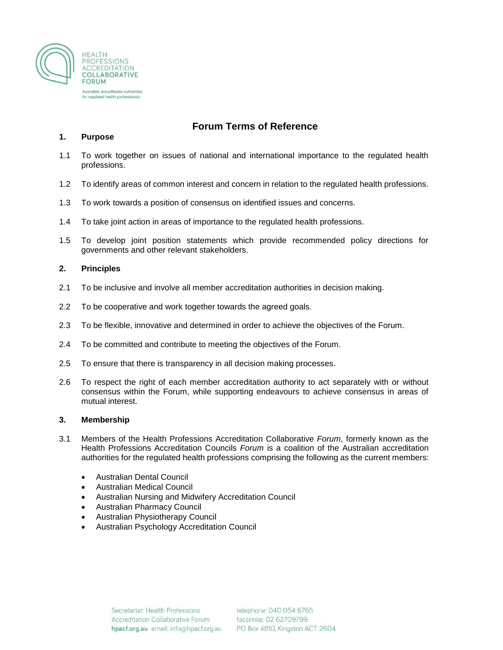

# **Forum Terms of Reference**

#### **1. Purpose**

- 1.1 To work together on issues of national and international importance to the regulated health professions.
- 1.2 To identify areas of common interest and concern in relation to the regulated health professions.
- 1.3 To work towards a position of consensus on identified issues and concerns.
- 1.4 To take joint action in areas of importance to the regulated health professions.
- 1.5 To develop joint position statements which provide recommended policy directions for governments and other relevant stakeholders.

#### **2. Principles**

- 2.1 To be inclusive and involve all member accreditation authorities in decision making.
- 2.2 To be cooperative and work together towards the agreed goals.
- 2.3 To be flexible, innovative and determined in order to achieve the objectives of the Forum.
- 2.4 To be committed and contribute to meeting the objectives of the Forum.
- 2.5 To ensure that there is transparency in all decision making processes.
- 2.6 To respect the right of each member accreditation authority to act separately with or without consensus within the Forum, while supporting endeavours to achieve consensus in areas of mutual interest.

#### **3. Membership**

- 3.1 Members of the Health Professions Accreditation Collaborative *Forum*, formerly known as the Health Professions Accreditation Councils *Forum* is a coalition of the Australian accreditation authorities for the regulated health professions comprising the following as the current members:
	- Australian Dental Council
	- Australian Medical Council
	- Australian Nursing and Midwifery Accreditation Council
	- Australian Pharmacy Council
	- Australian Physiotherapy Council
	- Australian Psychology Accreditation Council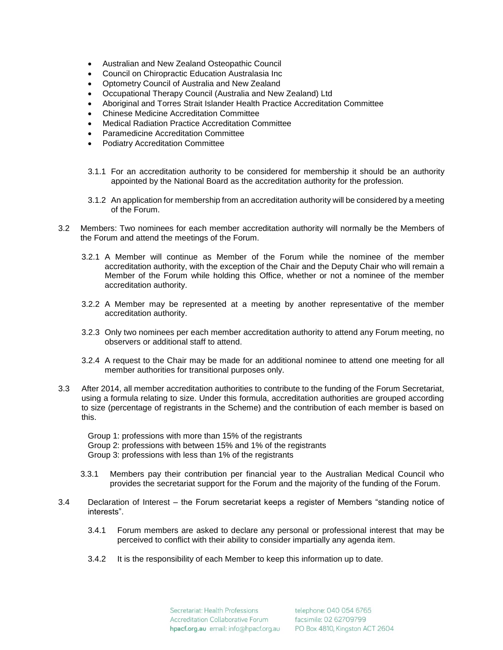- Australian and New Zealand Osteopathic Council
- Council on Chiropractic Education Australasia Inc
- Optometry Council of Australia and New Zealand
- Occupational Therapy Council (Australia and New Zealand) Ltd
- Aboriginal and Torres Strait Islander Health Practice Accreditation Committee
- Chinese Medicine Accreditation Committee
- Medical Radiation Practice Accreditation Committee
- Paramedicine Accreditation Committee
- Podiatry Accreditation Committee
- 3.1.1 For an accreditation authority to be considered for membership it should be an authority appointed by the National Board as the accreditation authority for the profession.
- 3.1.2 An application for membership from an accreditation authority will be considered by a meeting of the Forum.
- 3.2 Members: Two nominees for each member accreditation authority will normally be the Members of the Forum and attend the meetings of the Forum.
	- 3.2.1 A Member will continue as Member of the Forum while the nominee of the member accreditation authority, with the exception of the Chair and the Deputy Chair who will remain a Member of the Forum while holding this Office, whether or not a nominee of the member accreditation authority.
	- 3.2.2 A Member may be represented at a meeting by another representative of the member accreditation authority.
	- 3.2.3 Only two nominees per each member accreditation authority to attend any Forum meeting, no observers or additional staff to attend.
	- 3.2.4 A request to the Chair may be made for an additional nominee to attend one meeting for all member authorities for transitional purposes only.
- 3.3 After 2014, all member accreditation authorities to contribute to the funding of the Forum Secretariat, using a formula relating to size. Under this formula, accreditation authorities are grouped according to size (percentage of registrants in the Scheme) and the contribution of each member is based on this.

Group 1: professions with more than 15% of the registrants Group 2: professions with between 15% and 1% of the registrants Group 3: professions with less than 1% of the registrants

- 3.3.1 Members pay their contribution per financial year to the Australian Medical Council who provides the secretariat support for the Forum and the majority of the funding of the Forum.
- 3.4 Declaration of Interest the Forum secretariat keeps a register of Members "standing notice of interests".
	- 3.4.1 Forum members are asked to declare any personal or professional interest that may be perceived to conflict with their ability to consider impartially any agenda item.
	- 3.4.2 It is the responsibility of each Member to keep this information up to date.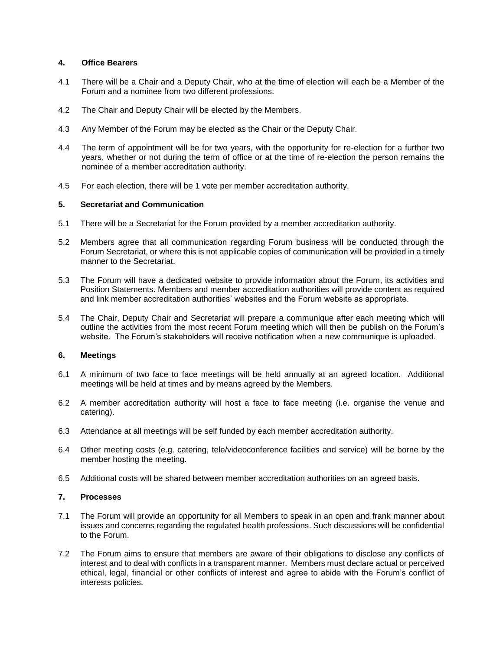### **4. Office Bearers**

- 4.1 There will be a Chair and a Deputy Chair, who at the time of election will each be a Member of the Forum and a nominee from two different professions.
- 4.2 The Chair and Deputy Chair will be elected by the Members.
- 4.3 Any Member of the Forum may be elected as the Chair or the Deputy Chair.
- 4.4 The term of appointment will be for two years, with the opportunity for re-election for a further two years, whether or not during the term of office or at the time of re-election the person remains the nominee of a member accreditation authority.
- 4.5 For each election, there will be 1 vote per member accreditation authority.

# **5. Secretariat and Communication**

- 5.1 There will be a Secretariat for the Forum provided by a member accreditation authority.
- 5.2 Members agree that all communication regarding Forum business will be conducted through the Forum Secretariat, or where this is not applicable copies of communication will be provided in a timely manner to the Secretariat.
- 5.3 The Forum will have a dedicated website to provide information about the Forum, its activities and Position Statements. Members and member accreditation authorities will provide content as required and link member accreditation authorities' websites and the Forum website as appropriate.
- 5.4 The Chair, Deputy Chair and Secretariat will prepare a communique after each meeting which will outline the activities from the most recent Forum meeting which will then be publish on the Forum's website. The Forum's stakeholders will receive notification when a new communique is uploaded.

#### **6. Meetings**

- 6.1 A minimum of two face to face meetings will be held annually at an agreed location. Additional meetings will be held at times and by means agreed by the Members.
- 6.2 A member accreditation authority will host a face to face meeting (i.e. organise the venue and catering).
- 6.3 Attendance at all meetings will be self funded by each member accreditation authority.
- 6.4 Other meeting costs (e.g. catering, tele/videoconference facilities and service) will be borne by the member hosting the meeting.
- 6.5 Additional costs will be shared between member accreditation authorities on an agreed basis.

# **7. Processes**

- 7.1 The Forum will provide an opportunity for all Members to speak in an open and frank manner about issues and concerns regarding the regulated health professions. Such discussions will be confidential to the Forum.
- 7.2 The Forum aims to ensure that members are aware of their obligations to disclose any conflicts of interest and to deal with conflicts in a transparent manner. Members must declare actual or perceived ethical, legal, financial or other conflicts of interest and agree to abide with the Forum's conflict of interests policies.